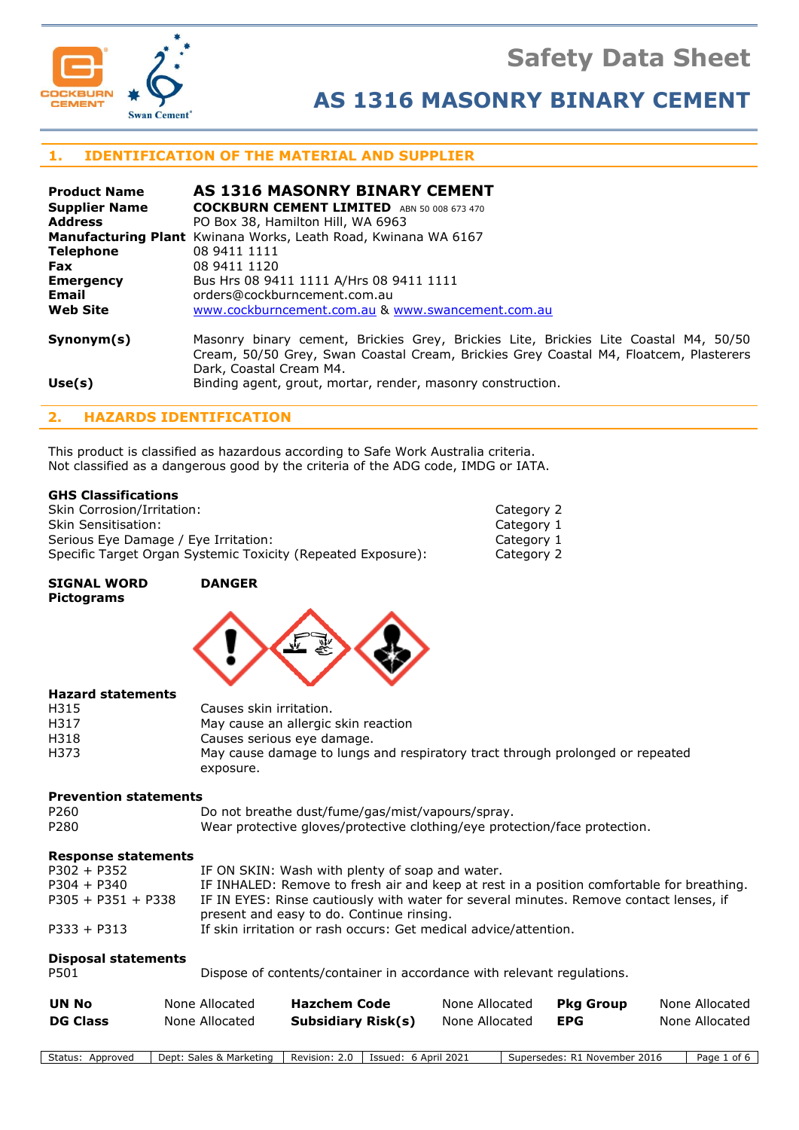

# **Safety Data Sheet**

# **AS 1316 MASONRY BINARY CEMENT**

## **1. IDENTIFICATION OF THE MATERIAL AND SUPPLIER**

| <b>Product Name</b>  | AS 1316 MASONRY BINARY CEMENT                                                                                                                                                                            |
|----------------------|----------------------------------------------------------------------------------------------------------------------------------------------------------------------------------------------------------|
| <b>Supplier Name</b> | <b>COCKBURN CEMENT LIMITED</b> ABN 50 008 673 470                                                                                                                                                        |
| <b>Address</b>       | PO Box 38, Hamilton Hill, WA 6963                                                                                                                                                                        |
|                      | <b>Manufacturing Plant</b> Kwinana Works, Leath Road, Kwinana WA 6167                                                                                                                                    |
| <b>Telephone</b>     | 08 9411 1111                                                                                                                                                                                             |
| <b>Fax</b>           | 08 9411 1120                                                                                                                                                                                             |
| <b>Emergency</b>     | Bus Hrs 08 9411 1111 A/Hrs 08 9411 1111                                                                                                                                                                  |
| <b>Email</b>         | orders@cockburncement.com.au                                                                                                                                                                             |
| <b>Web Site</b>      | www.cockburncement.com.au & www.swancement.com.au                                                                                                                                                        |
| Symonym(s)           | Masonry binary cement, Brickies Grey, Brickies Lite, Brickies Lite Coastal M4, 50/50<br>Cream, 50/50 Grey, Swan Coastal Cream, Brickies Grey Coastal M4, Floatcem, Plasterers<br>Dark, Coastal Cream M4. |

## **Use(s)** Binding agent, grout, mortar, render, masonry construction.

## **2. HAZARDS IDENTIFICATION**

This product is classified as hazardous according to Safe Work Australia criteria. Not classified as a dangerous good by the criteria of the ADG code, IMDG or IATA.

#### **GHS Classifications**

Skin Corrosion/Irritation: Category 2 Skin Sensitisation: Category 1 Category 1 Serious Eye Damage / Eye Irritation: Category 1 Serious Eye Damage / Eye Irritation: Specific Target Organ Systemic Toxicity (Repeated Exposure): Category 2

**SIGNAL WORD DANGER Pictograms**



#### **Hazard statements**

| H315 | Causes skin irritation.                                                       |
|------|-------------------------------------------------------------------------------|
| H317 | May cause an allergic skin reaction                                           |
| H318 | Causes serious eye damage.                                                    |
| H373 | May cause damage to lungs and respiratory tract through prolonged or repeated |
|      | exposure.                                                                     |

#### **Prevention statements**

P260 Do not breathe dust/fume/gas/mist/vapours/spray. P280 Wear protective gloves/protective clothing/eye protection/face protection.

#### **Response statements**

| $P302 + P352$        | IF ON SKIN: Wash with plenty of soap and water.                                           |
|----------------------|-------------------------------------------------------------------------------------------|
| $P304 + P340$        | IF INHALED: Remove to fresh air and keep at rest in a position comfortable for breathing. |
| $P305 + P351 + P338$ | IF IN EYES: Rinse cautiously with water for several minutes. Remove contact lenses, if    |
|                      | present and easy to do. Continue rinsing.                                                 |
| $P333 + P313$        | If skin irritation or rash occurs: Get medical advice/attention.                          |

## **Disposal statements**

| P501 | Dispose of contents/container in accordance with relevant regulations. |  |
|------|------------------------------------------------------------------------|--|
|      |                                                                        |  |

| UN No           | None Allocated | <b>Hazchem Code</b>       | None Allocated | Pka Group  | None Allocated |
|-----------------|----------------|---------------------------|----------------|------------|----------------|
| <b>DG Class</b> | None Allocated | <b>Subsidiary Risk(s)</b> | None Allocated | <b>EPG</b> | None Allocated |

Status: Approved | Dept: Sales & Marketing | Revision: 2.0 | Issued: 6 April 2021 | Supersedes: R1 November 2016 | Page 1 of 6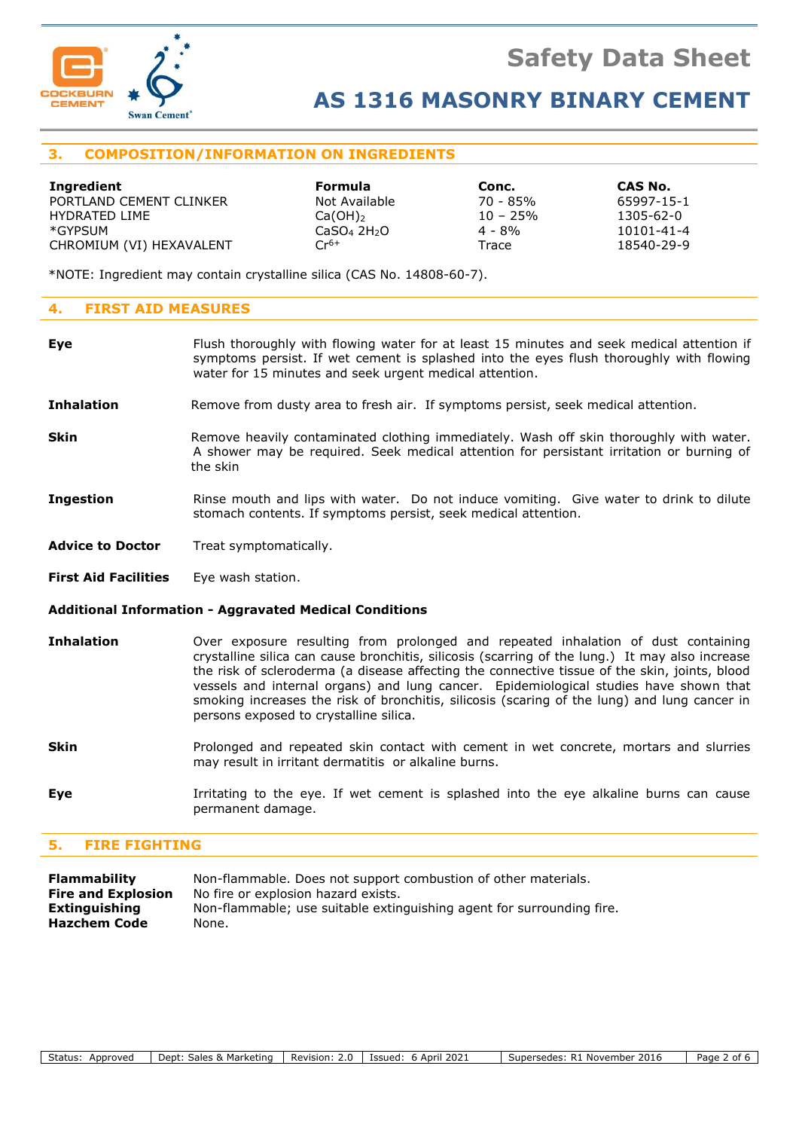

## **AS 1316 MASONRY BINARY CEMENT**

## **3. COMPOSITION/INFORMATION ON INGREDIENTS**

| Ingredient               | <b>Formula</b>                      | Conc.       | CAS No.    |
|--------------------------|-------------------------------------|-------------|------------|
| PORTLAND CEMENT CLINKER  | Not Available                       | 70 - 85%    | 65997-15-1 |
| HYDRATED LIME            | $Ca(OH)_{2}$                        | $10 - 25\%$ | 1305-62-0  |
| *GYPSUM                  | CaSO <sub>4</sub> 2H <sub>2</sub> O | $4 - 8\%$   | 10101-41-4 |
| CHROMIUM (VI) HEXAVALENT | $Cr^{6+}$                           | Trace       | 18540-29-9 |

\*NOTE: Ingredient may contain crystalline silica (CAS No. 14808-60-7).

### **4. FIRST AID MEASURES**

- **Eye** Flush thoroughly with flowing water for at least 15 minutes and seek medical attention if symptoms persist. If wet cement is splashed into the eyes flush thoroughly with flowing water for 15 minutes and seek urgent medical attention.
- **Inhalation** Remove from dusty area to fresh air. If symptoms persist, seek medical attention.
- **Skin** Remove heavily contaminated clothing immediately. Wash off skin thoroughly with water. A shower may be required. Seek medical attention for persistant irritation or burning of the skin
- **Ingestion** Rinse mouth and lips with water. Do not induce vomiting. Give water to drink to dilute stomach contents. If symptoms persist, seek medical attention.
- **Advice to Doctor** Treat symptomatically.
- **First Aid Facilities** Eye wash station.

#### **Additional Information - Aggravated Medical Conditions**

- **Inhalation** Over exposure resulting from prolonged and repeated inhalation of dust containing crystalline silica can cause bronchitis, silicosis (scarring of the lung.) It may also increase the risk of scleroderma (a disease affecting the connective tissue of the skin, joints, blood vessels and internal organs) and lung cancer. Epidemiological studies have shown that smoking increases the risk of bronchitis, silicosis (scaring of the lung) and lung cancer in persons exposed to crystalline silica.
- **Skin** Prolonged and repeated skin contact with cement in wet concrete, mortars and slurries may result in irritant dermatitis or alkaline burns.
- **Eye I**rritating to the eye. If wet cement is splashed into the eye alkaline burns can cause permanent damage.

#### **5. FIRE FIGHTING**

| Flammability              | Non-flammable. Does not support combustion of other materials.        |
|---------------------------|-----------------------------------------------------------------------|
| <b>Fire and Explosion</b> | No fire or explosion hazard exists.                                   |
| Extinguishing             | Non-flammable; use suitable extinguishing agent for surrounding fire. |
| <b>Hazchem Code</b>       | None.                                                                 |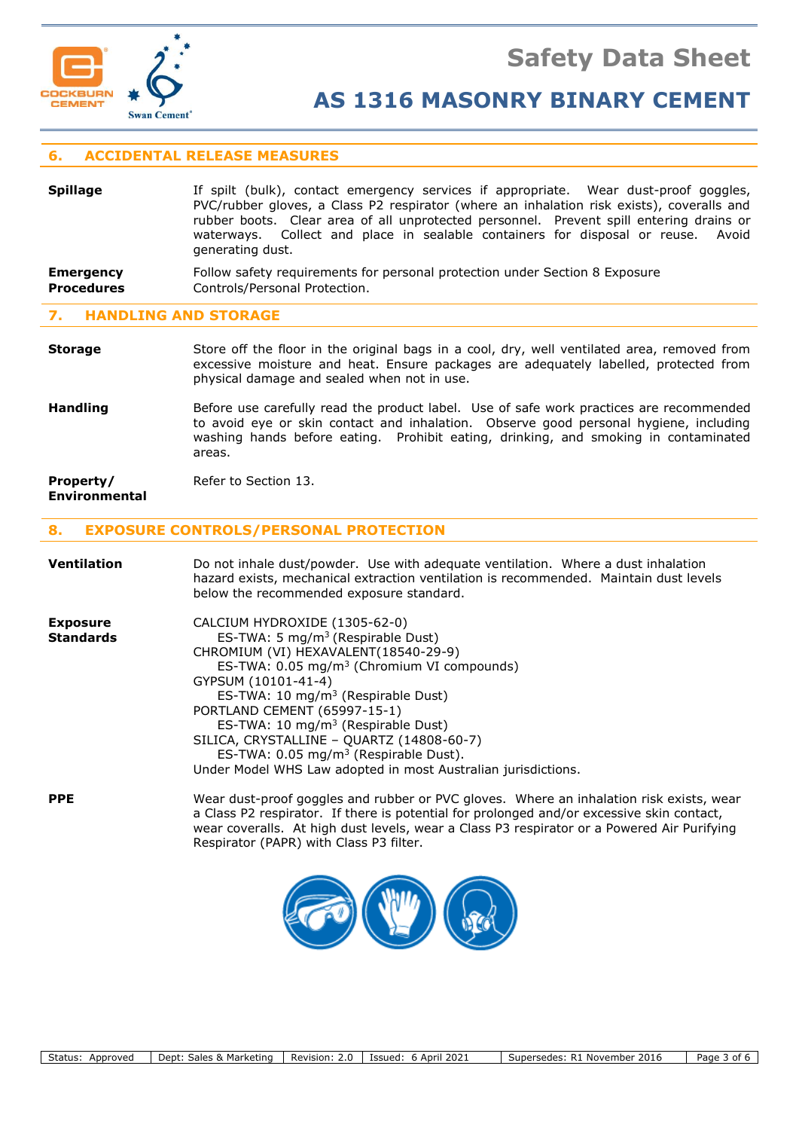

## **AS 1316 MASONRY BINARY CEMENT**

## **6. ACCIDENTAL RELEASE MEASURES**

| <b>Spillage</b>   | If spilt (bulk), contact emergency services if appropriate. Wear dust-proof goggles,<br>PVC/rubber gloves, a Class P2 respirator (where an inhalation risk exists), coveralls and<br>rubber boots. Clear area of all unprotected personnel. Prevent spill entering drains or<br>waterways. Collect and place in sealable containers for disposal or reuse. Avoid<br>generating dust. |
|-------------------|--------------------------------------------------------------------------------------------------------------------------------------------------------------------------------------------------------------------------------------------------------------------------------------------------------------------------------------------------------------------------------------|
| <b>Emergency</b>  | Follow safety requirements for personal protection under Section 8 Exposure                                                                                                                                                                                                                                                                                                          |
| <b>Procedures</b> | Controls/Personal Protection.                                                                                                                                                                                                                                                                                                                                                        |

#### **7. HANDLING AND STORAGE**

**Storage** Store off the floor in the original bags in a cool, dry, well ventilated area, removed from excessive moisture and heat. Ensure packages are adequately labelled, protected from physical damage and sealed when not in use.

Handling **Before use carefully read the product label.** Use of safe work practices are recommended to avoid eye or skin contact and inhalation. Observe good personal hygiene, including washing hands before eating. Prohibit eating, drinking, and smoking in contaminated areas.

#### **Property/** Refer to Section 13. **Environmental**

## **8. EXPOSURE CONTROLS/PERSONAL PROTECTION**

| <b>Ventilation</b>                  | Do not inhale dust/powder. Use with adequate ventilation. Where a dust inhalation<br>hazard exists, mechanical extraction ventilation is recommended. Maintain dust levels<br>below the recommended exposure standard.                                                                                                                                                                                                                                                                                        |
|-------------------------------------|---------------------------------------------------------------------------------------------------------------------------------------------------------------------------------------------------------------------------------------------------------------------------------------------------------------------------------------------------------------------------------------------------------------------------------------------------------------------------------------------------------------|
| <b>Exposure</b><br><b>Standards</b> | CALCIUM HYDROXIDE (1305-62-0)<br>ES-TWA: 5 mg/m <sup>3</sup> (Respirable Dust)<br>CHROMIUM (VI) HEXAVALENT(18540-29-9)<br>ES-TWA: 0.05 mg/m <sup>3</sup> (Chromium VI compounds)<br>GYPSUM (10101-41-4)<br>ES-TWA: 10 mg/m <sup>3</sup> (Respirable Dust)<br>PORTLAND CEMENT (65997-15-1)<br>ES-TWA: 10 mg/m <sup>3</sup> (Respirable Dust)<br>SILICA, CRYSTALLINE - QUARTZ (14808-60-7)<br>ES-TWA: $0.05 \text{ mg/m}^3$ (Respirable Dust).<br>Under Model WHS Law adopted in most Australian jurisdictions. |
| <b>PPE</b>                          | Wear dust-proof goggles and rubber or PVC gloves. Where an inhalation risk exists, wear<br>a Class P2 respirator. If there is potential for prolonged and/or excessive skin contact,<br>wear coveralls. At high dust levels, wear a Class P3 respirator or a Powered Air Purifying<br>Respirator (PAPR) with Class P3 filter.                                                                                                                                                                                 |

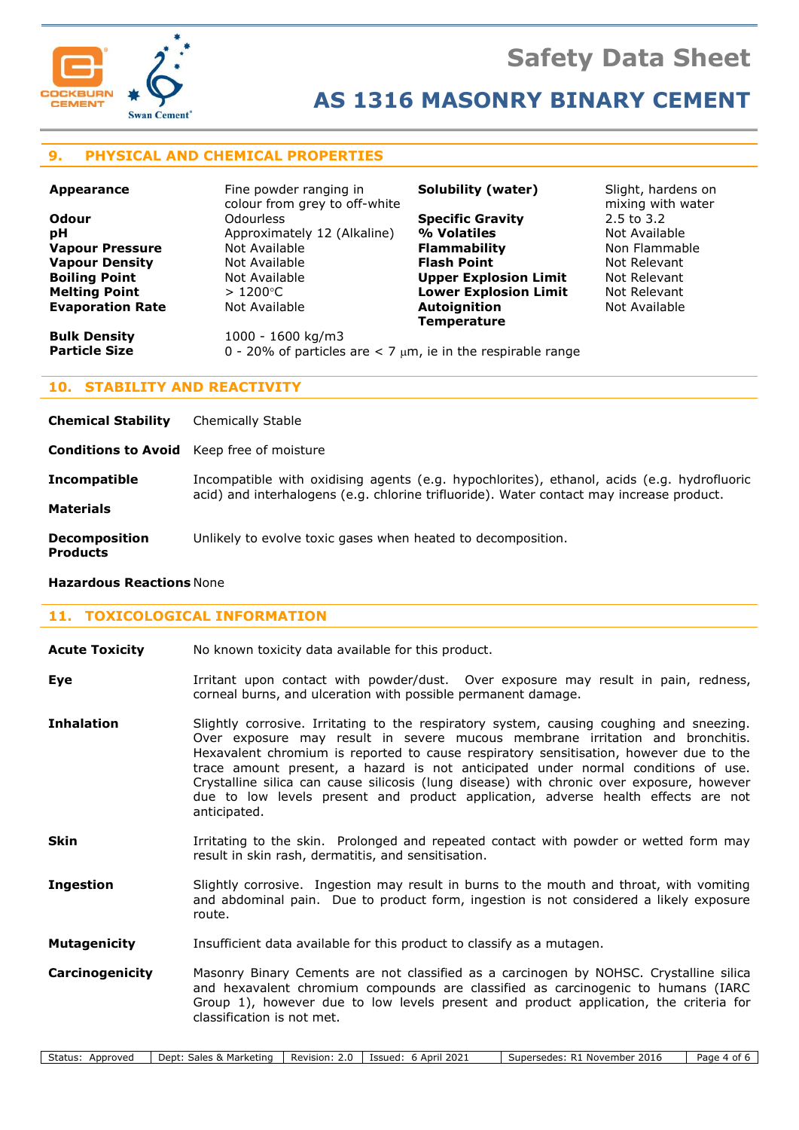

## **9. PHYSICAL AND CHEMICAL PROPERTIES**

| <b>Appearance</b>       | Fine powder ranging in<br>colour from grey to off-white            | <b>Solubility (water)</b>    | Slight, hardens on<br>mixing with water |
|-------------------------|--------------------------------------------------------------------|------------------------------|-----------------------------------------|
| <b>Odour</b>            | <b>Odourless</b>                                                   | <b>Specific Gravity</b>      | $2.5$ to $3.2$                          |
| рH                      | Approximately 12 (Alkaline)                                        | % Volatiles                  | Not Available                           |
| <b>Vapour Pressure</b>  | Not Available                                                      | <b>Flammability</b>          | Non Flammable                           |
| <b>Vapour Density</b>   | Not Available                                                      | <b>Flash Point</b>           | Not Relevant                            |
| <b>Boiling Point</b>    | Not Available                                                      | <b>Upper Explosion Limit</b> | Not Relevant                            |
| <b>Melting Point</b>    | $>1200^{\circ}$ C                                                  | <b>Lower Explosion Limit</b> | Not Relevant                            |
| <b>Evaporation Rate</b> | Not Available                                                      | <b>Autoignition</b>          | Not Available                           |
|                         |                                                                    | <b>Temperature</b>           |                                         |
| <b>Bulk Density</b>     | 1000 - 1600 kg/m3                                                  |                              |                                         |
| <b>Particle Size</b>    | 0 - 20% of particles are $<$ 7 $\mu$ m, ie in the respirable range |                              |                                         |

## **10. STABILITY AND REACTIVITY**

| <b>Chemical Stability</b>                        | Chemically Stable                                                                                                                                                                      |
|--------------------------------------------------|----------------------------------------------------------------------------------------------------------------------------------------------------------------------------------------|
| <b>Conditions to Avoid</b> Keep free of moisture |                                                                                                                                                                                        |
| <b>Incompatible</b><br><b>Materials</b>          | Incompatible with oxidising agents (e.g. hypochlorites), ethanol, acids (e.g. hydrofluoric<br>acid) and interhalogens (e.g. chlorine trifluoride). Water contact may increase product. |
| <b>Decomposition</b><br><b>Products</b>          | Unlikely to evolve toxic gases when heated to decomposition.                                                                                                                           |
|                                                  |                                                                                                                                                                                        |

#### **Hazardous Reactions** None

## **11. TOXICOLOGICAL INFORMATION**

| <b>Acute Toxicity</b> |  | No known toxicity data available for this product. |
|-----------------------|--|----------------------------------------------------|
|-----------------------|--|----------------------------------------------------|

- **Eye I**rritant upon contact with powder/dust. Over exposure may result in pain, redness, corneal burns, and ulceration with possible permanent damage.
- **Inhalation** Slightly corrosive. Irritating to the respiratory system, causing coughing and sneezing. Over exposure may result in severe mucous membrane irritation and bronchitis. Hexavalent chromium is reported to cause respiratory sensitisation, however due to the trace amount present, a hazard is not anticipated under normal conditions of use. Crystalline silica can cause silicosis (lung disease) with chronic over exposure, however due to low levels present and product application, adverse health effects are not anticipated.
- **Skin** Irritating to the skin. Prolonged and repeated contact with powder or wetted form may result in skin rash, dermatitis, and sensitisation.
- **Ingestion** Slightly corrosive. Ingestion may result in burns to the mouth and throat, with vomiting and abdominal pain. Due to product form, ingestion is not considered a likely exposure route.
- **Mutagenicity** Insufficient data available for this product to classify as a mutagen.
- **Carcinogenicity** Masonry Binary Cements are not classified as a carcinogen by NOHSC. Crystalline silica and hexavalent chromium compounds are classified as carcinogenic to humans (IARC Group 1), however due to low levels present and product application, the criteria for classification is not met.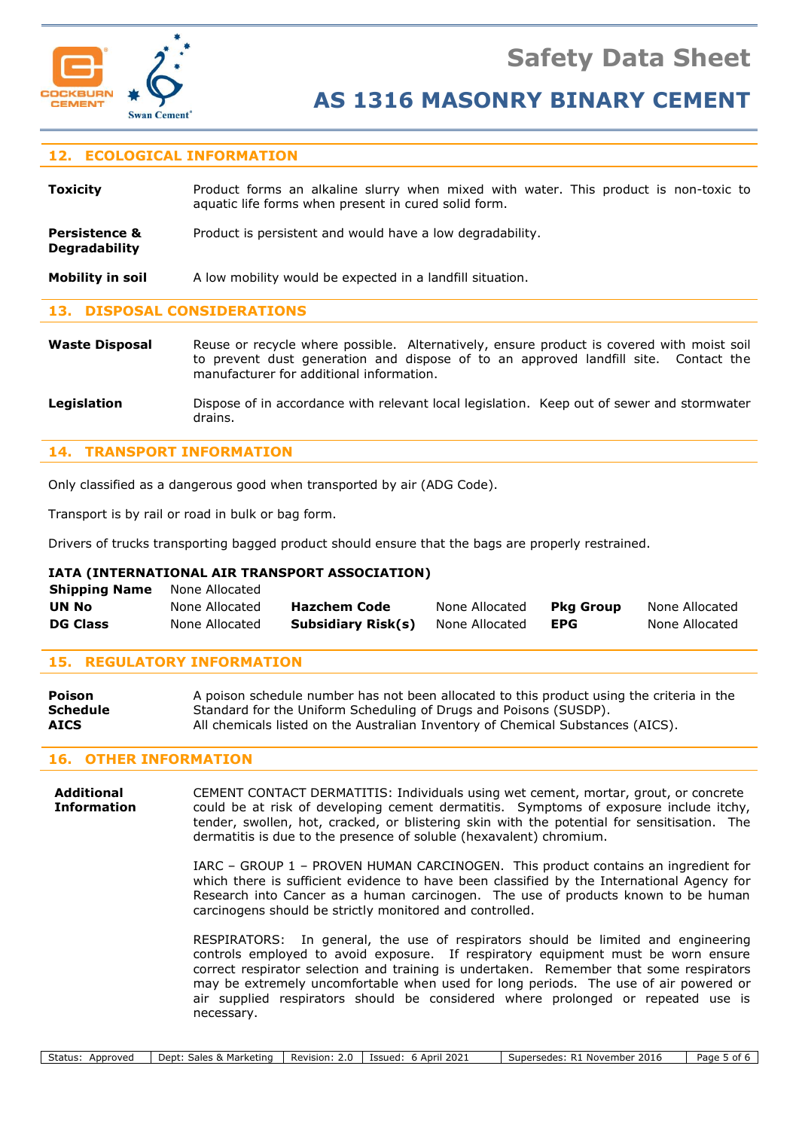

**Degradability**

## **AS 1316 MASONRY BINARY CEMENT**

## **12. ECOLOGICAL INFORMATION**

| Toxicity | Product forms an alkaline slurry when mixed with water. This product is non-toxic to |
|----------|--------------------------------------------------------------------------------------|
|          | aquatic life forms when present in cured solid form.                                 |

**Persistence &** Product is persistent and would have a low degradability.

**Mobility in soil** A low mobility would be expected in a landfill situation.

#### **13. DISPOSAL CONSIDERATIONS**

Waste Disposal Reuse or recycle where possible. Alternatively, ensure product is covered with moist soil to prevent dust generation and dispose of to an approved landfill site. Contact the manufacturer for additional information.

Legislation **Dispose of in accordance with relevant local legislation.** Keep out of sewer and stormwater drains.

### **14. TRANSPORT INFORMATION**

Only classified as a dangerous good when transported by air (ADG Code).

Transport is by rail or road in bulk or bag form.

Drivers of trucks transporting bagged product should ensure that the bags are properly restrained.

#### **IATA (INTERNATIONAL AIR TRANSPORT ASSOCIATION)**

| <b>Shipping Name</b> | None Allocated |                     |                |            |                |
|----------------------|----------------|---------------------|----------------|------------|----------------|
| <b>UN No</b>         | None Allocated | <b>Hazchem Code</b> | None Allocated | Pka Group  | None Allocated |
| <b>DG Class</b>      | None Allocated | Subsidiary Risk(s)  | None Allocated | <b>EPG</b> | None Allocated |

#### **15. REGULATORY INFORMATION**

| Poison          | A poison schedule number has not been allocated to this product using the criteria in the |
|-----------------|-------------------------------------------------------------------------------------------|
| <b>Schedule</b> | Standard for the Uniform Scheduling of Drugs and Poisons (SUSDP).                         |
| <b>AICS</b>     | All chemicals listed on the Australian Inventory of Chemical Substances (AICS).           |

#### **16. OTHER INFORMATION**

**Additional** CEMENT CONTACT DERMATITIS: Individuals using wet cement, mortar, grout, or concrete **Information** could be at risk of developing cement dermatitis. Symptoms of exposure include itchy, tender, swollen, hot, cracked, or blistering skin with the potential for sensitisation. The dermatitis is due to the presence of soluble (hexavalent) chromium.

> IARC – GROUP 1 – PROVEN HUMAN CARCINOGEN. This product contains an ingredient for which there is sufficient evidence to have been classified by the International Agency for Research into Cancer as a human carcinogen. The use of products known to be human carcinogens should be strictly monitored and controlled.

> RESPIRATORS: In general, the use of respirators should be limited and engineering controls employed to avoid exposure. If respiratory equipment must be worn ensure correct respirator selection and training is undertaken. Remember that some respirators may be extremely uncomfortable when used for long periods. The use of air powered or air supplied respirators should be considered where prolonged or repeated use is necessary.